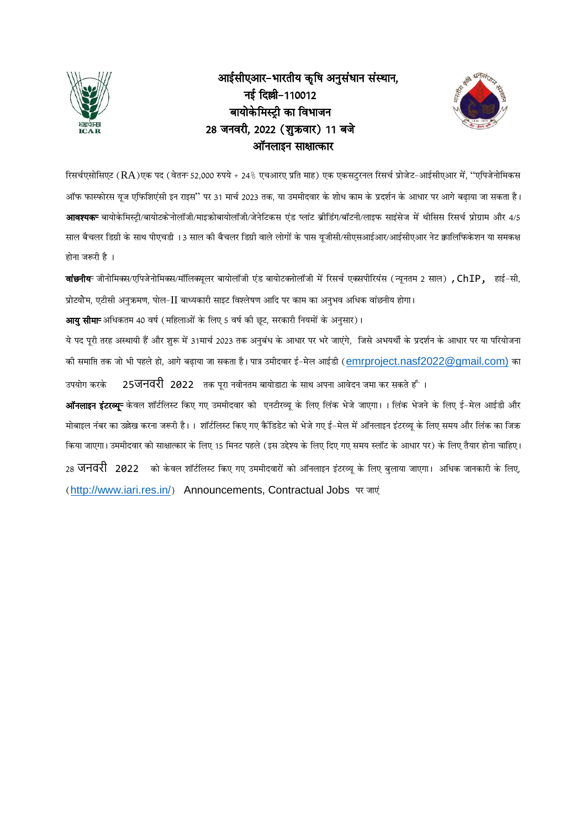

# आईसीएआर-भारतीय कृषि अनुसंधान संस्थान, नई दिल्ली-110012 बायोकेमिस्टी का विभाजन 28 जनवरी, 2022 (शुक्रवार) 11 बजे ऑनलाइन साक्षात्कार



रिसर्चएसोसिएट (RA)एक पद (वेतन 52,000 रुपये + 24% एचआरए प्रति माह) एक एकसटुरनल रिसर्च प्रोजेट-आईसीएआर में, "एपिजेनोमिकस ऑफ फास्फोरस यूज एफिशिएंसी इन राइस'' पर 31 मार्च 2023 तक, या उममीदवार के शोध काम के प्रदर्शन के आधार पर आगे बढाया जा सकता है। **आवश्यक**- बायोकेमिस्टी/बायोटकेनोलॉजी/माइक्रोबायोलॉजी/जेनेटिकस एंड प्लांट ब्रीडिंग/बॉटनी/लाइफ साइंसेज में थीसिस रिसर्च प्रोग्राम और 4/5 साल बैचलर डिग्री के साथ पीएचडी ।3 साल की बैचलर डिग्री वाले लोगों के पास यूजीसी/सीएसआईआर/आईसीएआर नेट क्वालिफिकेशन या समकक्ष होना जरूरी है<sup>1</sup>

**वांछनीय** जीनोमिक्स/एपिजेनोमिक्स/मॉलिक्यूलर बायोलॉजी एंड बायोटक्नोलॉजी में रिसर्च एक्सपीरियंस (न्यूनतम 2 साल) **, ChIP,** हाई-सी. फ्रोटयोेम, एटीसी अनुक्रमण, पोल-∐ बाध्यकारी साइट विश्लेषण आदि पर काम का अनुभव अधिक वांछनीय होगा।

<mark>आय सीमा</mark> अधिकतम 40 वर्ष (महिलाओं के लिए 5 वर्ष को छट, सरकारी नियमों के अनसार)।

ये पद पूरी तरह अस्थायी हैं और शुरू में 31मार्च 2023 तक अनुबंध के आधार पर भरे जाएंगे, जिसे अभयर्थी के प्रदर्शन के आधार पर या परियोजना की समाप्ति तक जो भी पहले हो, आगे बढ़ाया जा सकता है। पात्र उमीदवार ई-मेल आईडी ([emrproject.nasf2022@gmail.com\)](mailto:emrproject.nasf2022@gmail.com) का उपयोग करके 25**जनवरी 2022** तक परा नवीनतम बायोडाटा के साथ अपना आवेदन जमा कर सकते हैं ।

<mark>ऑनलाइन इंटरव्यू</mark>= केवल शॉर्टलिस्ट किए गए उममीदवार को एनटीरव्यू के लिए लिंक भेजे जाएगा। 1 लिंक भेजने के लिए ई–मेल आईडी और +ोबाइल नंबर का उल्लेख करना जरूरी है।। शॉर्टलिस्ट किए गए कैंडिडेट को भेजे गए ई–मेल में ऑनलाइन इंटरव्यू के लिए समय और लिंक का जिक्र किया जाएगा। उममीदवार को साक्षात्कार के लिए 15 मिनट पहले (इस उद्देश्य के लिए दिए गए समय स्लॉट के आधार पर) के लिए तैयार होना चाहिए। 28 **जनवरी 2022 को केवल शॉ**र्टलिस्ट किए गए उममीदवारों को ऑनलाइन इंटरव्यू के लिए बुलाया जाएगा। अधिक जानकारी के लिए, (<http://www.iari.res.in/>) Announcements, Contractual Jobs पर जाएं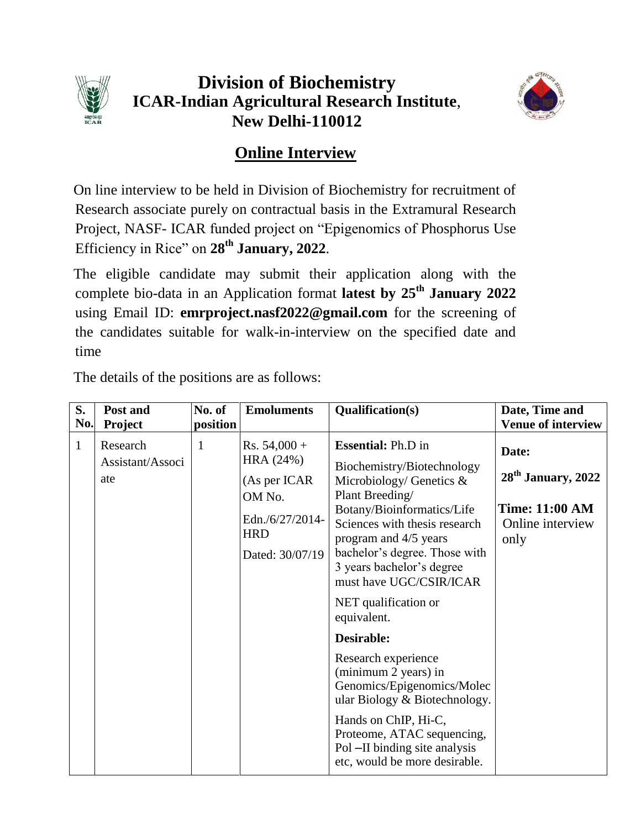

# **Division of Biochemistry ICAR-Indian Agricultural Research Institute**, **New Delhi-110012**



# **Online Interview**

On line interview to be held in Division of Biochemistry for recruitment of Research associate purely on contractual basis in the Extramural Research Project, NASF- ICAR funded project on "Epigenomics of Phosphorus Use Efficiency in Rice" on **28 th January, 2022**.

The eligible candidate may submit their application along with the complete bio-data in an Application format **latest by 25 th January 2022** using Email ID: **emrproject.nasf2022@gmail.com** for the screening of the candidates suitable for walk-in-interview on the specified date and time

| S.                  | Post and                                | No. of        | <b>Emoluments</b>                                                          | Qualification(s)                                                                                                                                                                                                                                 | Date, Time and                                             |
|---------------------|-----------------------------------------|---------------|----------------------------------------------------------------------------|--------------------------------------------------------------------------------------------------------------------------------------------------------------------------------------------------------------------------------------------------|------------------------------------------------------------|
| No.<br>$\mathbf{1}$ | Project<br>Research<br>Assistant/Associ | position<br>1 | $Rs. 54,000 +$<br>HRA (24%)                                                | <b>Essential: Ph.D in</b><br>Biochemistry/Biotechnology                                                                                                                                                                                          | <b>Venue of interview</b><br>Date:<br>$28th$ January, 2022 |
|                     | ate                                     |               | (As per ICAR<br>OM No.<br>Edn./6/27/2014-<br><b>HRD</b><br>Dated: 30/07/19 | Microbiology/ Genetics $\&$<br>Plant Breeding/<br>Botany/Bioinformatics/Life<br>Sciences with thesis research<br>program and 4/5 years<br>bachelor's degree. Those with<br>3 years bachelor's degree<br>must have UGC/CSIR/ICAR                  | <b>Time: 11:00 AM</b><br>Online interview<br>only          |
|                     |                                         |               |                                                                            | NET qualification or<br>equivalent.                                                                                                                                                                                                              |                                                            |
|                     |                                         |               |                                                                            | Desirable:<br>Research experience<br>(minimum 2 years) in<br>Genomics/Epigenomics/Molec<br>ular Biology & Biotechnology.<br>Hands on ChIP, Hi-C,<br>Proteome, ATAC sequencing,<br>Pol –II binding site analysis<br>etc, would be more desirable. |                                                            |

The details of the positions are as follows: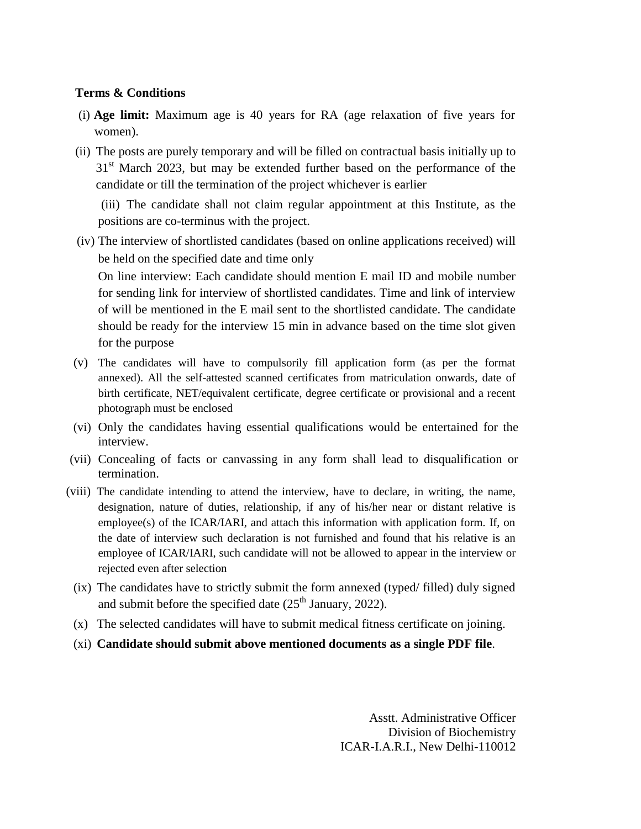#### **Terms & Conditions**

- (i) **Age limit:** Maximum age is 40 years for RA (age relaxation of five years for women).
- (ii) The posts are purely temporary and will be filled on contractual basis initially up to  $31<sup>st</sup>$  March 2023, but may be extended further based on the performance of the candidate or till the termination of the project whichever is earlier

(iii) The candidate shall not claim regular appointment at this Institute, as the positions are co-terminus with the project.

(iv) The interview of shortlisted candidates (based on online applications received) will be held on the specified date and time only

On line interview: Each candidate should mention E mail ID and mobile number for sending link for interview of shortlisted candidates. Time and link of interview of will be mentioned in the E mail sent to the shortlisted candidate. The candidate should be ready for the interview 15 min in advance based on the time slot given for the purpose

- (v) The candidates will have to compulsorily fill application form (as per the format annexed). All the self-attested scanned certificates from matriculation onwards, date of birth certificate, NET/equivalent certificate, degree certificate or provisional and a recent photograph must be enclosed
- (vi) Only the candidates having essential qualifications would be entertained for the interview.
- (vii) Concealing of facts or canvassing in any form shall lead to disqualification or termination.
- (viii) The candidate intending to attend the interview, have to declare, in writing, the name, designation, nature of duties, relationship, if any of his/her near or distant relative is employee(s) of the ICAR/IARI, and attach this information with application form. If, on the date of interview such declaration is not furnished and found that his relative is an employee of ICAR/IARI, such candidate will not be allowed to appear in the interview or rejected even after selection
- (ix) The candidates have to strictly submit the form annexed (typed/ filled) duly signed and submit before the specified date  $(25<sup>th</sup> January, 2022)$ .
- (x) The selected candidates will have to submit medical fitness certificate on joining.
- (xi) **Candidate should submit above mentioned documents as a single PDF file**.

Asstt. Administrative Officer Division of Biochemistry ICAR-I.A.R.I., New Delhi-110012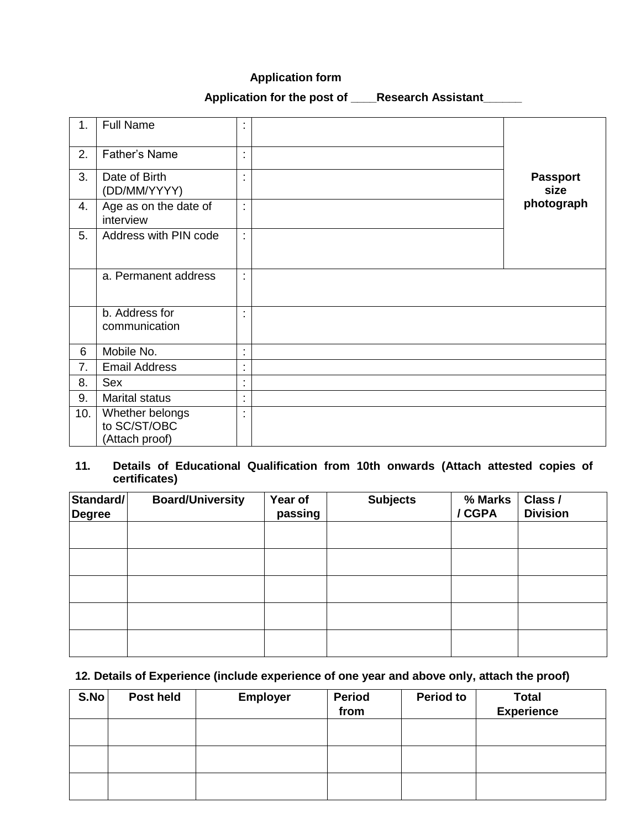### **Application form**

## **Application for the post of \_\_\_\_Research Assistant\_\_\_\_\_\_**

| 1.  | <b>Full Name</b>                                  | t,                             |                         |
|-----|---------------------------------------------------|--------------------------------|-------------------------|
| 2.  | Father's Name                                     | $\blacksquare$<br>$\mathbf{r}$ |                         |
| 3.  | Date of Birth<br>(DD/MM/YYYY)                     | $\blacksquare$<br>ä,           | <b>Passport</b><br>size |
| 4.  | Age as on the date of<br>interview                | $\ddot{\phantom{a}}$           | photograph              |
| 5.  | Address with PIN code                             | t                              |                         |
|     | a. Permanent address                              | t                              |                         |
|     | b. Address for<br>communication                   | ÷                              |                         |
| 6   | Mobile No.                                        | t                              |                         |
| 7.  | <b>Email Address</b>                              | $\blacksquare$<br>$\bullet$    |                         |
| 8.  | Sex                                               | $\blacksquare$<br>$\bullet$    |                         |
| 9.  | <b>Marital status</b>                             | $\ddot{\phantom{a}}$           |                         |
| 10. | Whether belongs<br>to SC/ST/OBC<br>(Attach proof) | t                              |                         |

### **11. Details of Educational Qualification from 10th onwards (Attach attested copies of certificates)**

| Standard/<br>Degree | <b>Board/University</b> | Year of<br>passing | <b>Subjects</b> | % Marks<br>/ CGPA | Class /<br><b>Division</b> |
|---------------------|-------------------------|--------------------|-----------------|-------------------|----------------------------|
|                     |                         |                    |                 |                   |                            |
|                     |                         |                    |                 |                   |                            |
|                     |                         |                    |                 |                   |                            |
|                     |                         |                    |                 |                   |                            |
|                     |                         |                    |                 |                   |                            |

## **12. Details of Experience (include experience of one year and above only, attach the proof)**

| S.No | Post held | <b>Employer</b> | <b>Period</b><br>from | <b>Period to</b> | <b>Total</b><br><b>Experience</b> |
|------|-----------|-----------------|-----------------------|------------------|-----------------------------------|
|      |           |                 |                       |                  |                                   |
|      |           |                 |                       |                  |                                   |
|      |           |                 |                       |                  |                                   |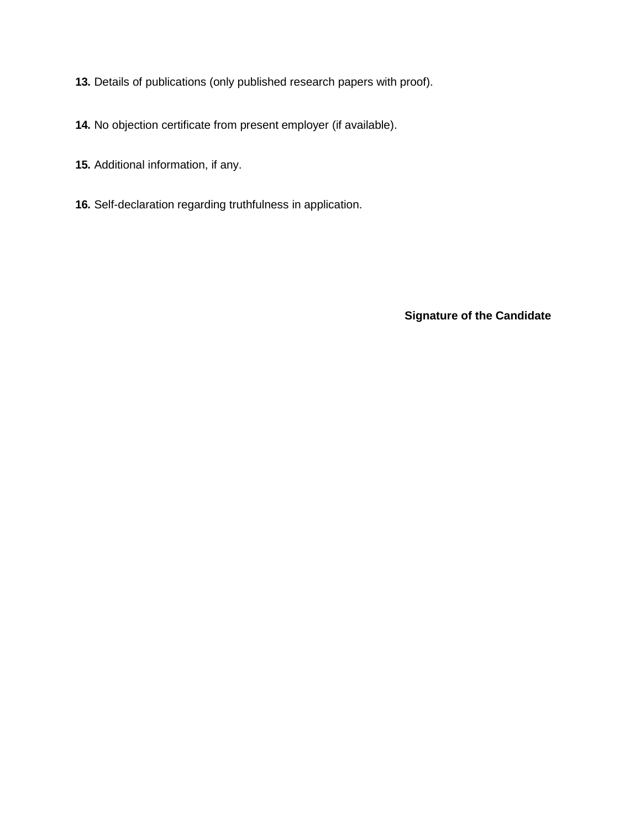- **13.** Details of publications (only published research papers with proof).
- **14.** No objection certificate from present employer (if available).
- **15.** Additional information, if any.
- **16.** Self-declaration regarding truthfulness in application.

**Signature of the Candidate**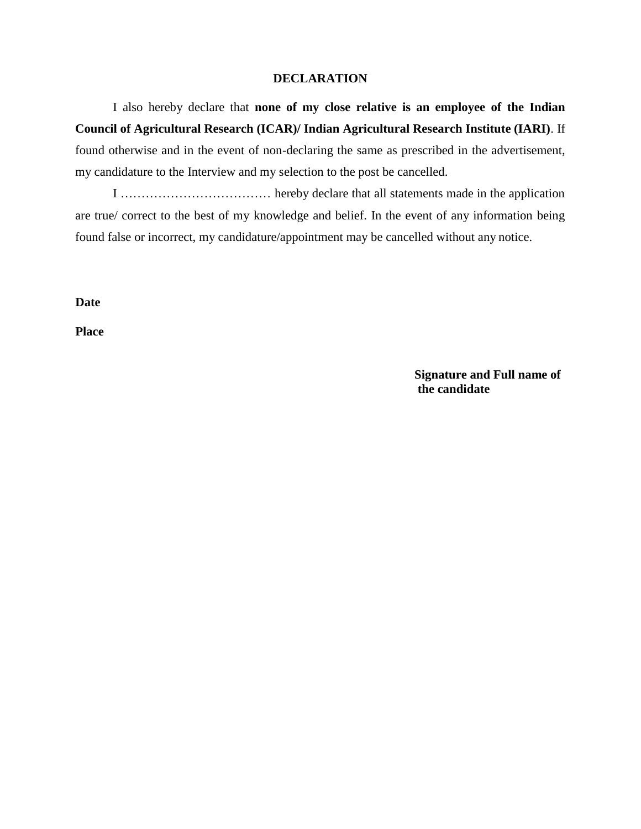#### **DECLARATION**

I also hereby declare that **none of my close relative is an employee of the Indian Council of Agricultural Research (ICAR)/ Indian Agricultural Research Institute (IARI)**. If found otherwise and in the event of non-declaring the same as prescribed in the advertisement, my candidature to the Interview and my selection to the post be cancelled.

I ……………………………… hereby declare that all statements made in the application are true/ correct to the best of my knowledge and belief. In the event of any information being found false or incorrect, my candidature/appointment may be cancelled without any notice.

**Date** 

**Place**

**Signature and Full name of the candidate**